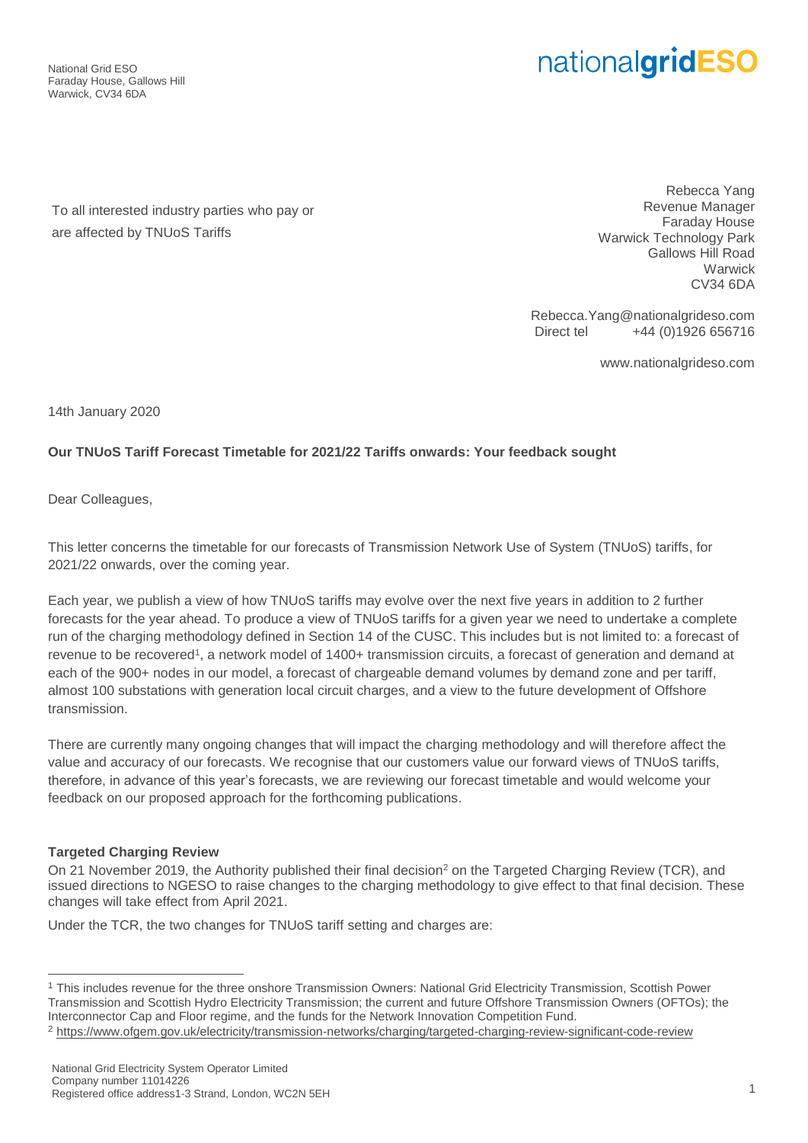National Grid ESO Faraday House, Gallows Hill Warwick, CV34 6DA

# nationalgridESO

To all interested industry parties who pay or are affected by TNUoS Tariffs

Rebecca Yang Revenue Manager Faraday House Warwick Technology Park Gallows Hill Road **Warwick** CV34 6DA

Rebecca.Yang@nationalgrideso.com Direct tel  $+44(0)19266656716$ 

www.nationalgrideso.com

14th January 2020

## **Our TNUoS Tariff Forecast Timetable for 2021/22 Tariffs onwards: Your feedback sought**

Dear Colleagues,

This letter concerns the timetable for our forecasts of Transmission Network Use of System (TNUoS) tariffs, for 2021/22 onwards, over the coming year.

Each year, we publish a view of how TNUoS tariffs may evolve over the next five years in addition to 2 further forecasts for the year ahead. To produce a view of TNUoS tariffs for a given year we need to undertake a complete run of the charging methodology defined in Section 14 of the CUSC. This includes but is not limited to: a forecast of revenue to be recovered<sup>1</sup>, a network model of 1400+ transmission circuits, a forecast of generation and demand at each of the 900+ nodes in our model, a forecast of chargeable demand volumes by demand zone and per tariff, almost 100 substations with generation local circuit charges, and a view to the future development of Offshore transmission.

There are currently many ongoing changes that will impact the charging methodology and will therefore affect the value and accuracy of our forecasts. We recognise that our customers value our forward views of TNUoS tariffs, therefore, in advance of this year's forecasts, we are reviewing our forecast timetable and would welcome your feedback on our proposed approach for the forthcoming publications.

### **Targeted Charging Review**

 $\overline{a}$ 

On 21 November 2019, the Authority published their final decision<sup>2</sup> on the Targeted Charging Review (TCR), and issued directions to NGESO to raise changes to the charging methodology to give effect to that final decision. These changes will take effect from April 2021.

Under the TCR, the two changes for TNUoS tariff setting and charges are:

<sup>1</sup> This includes revenue for the three onshore Transmission Owners: National Grid Electricity Transmission, Scottish Power Transmission and Scottish Hydro Electricity Transmission; the current and future Offshore Transmission Owners (OFTOs); the Interconnector Cap and Floor regime, and the funds for the Network Innovation Competition Fund.

<sup>2</sup> <https://www.ofgem.gov.uk/electricity/transmission-networks/charging/targeted-charging-review-significant-code-review>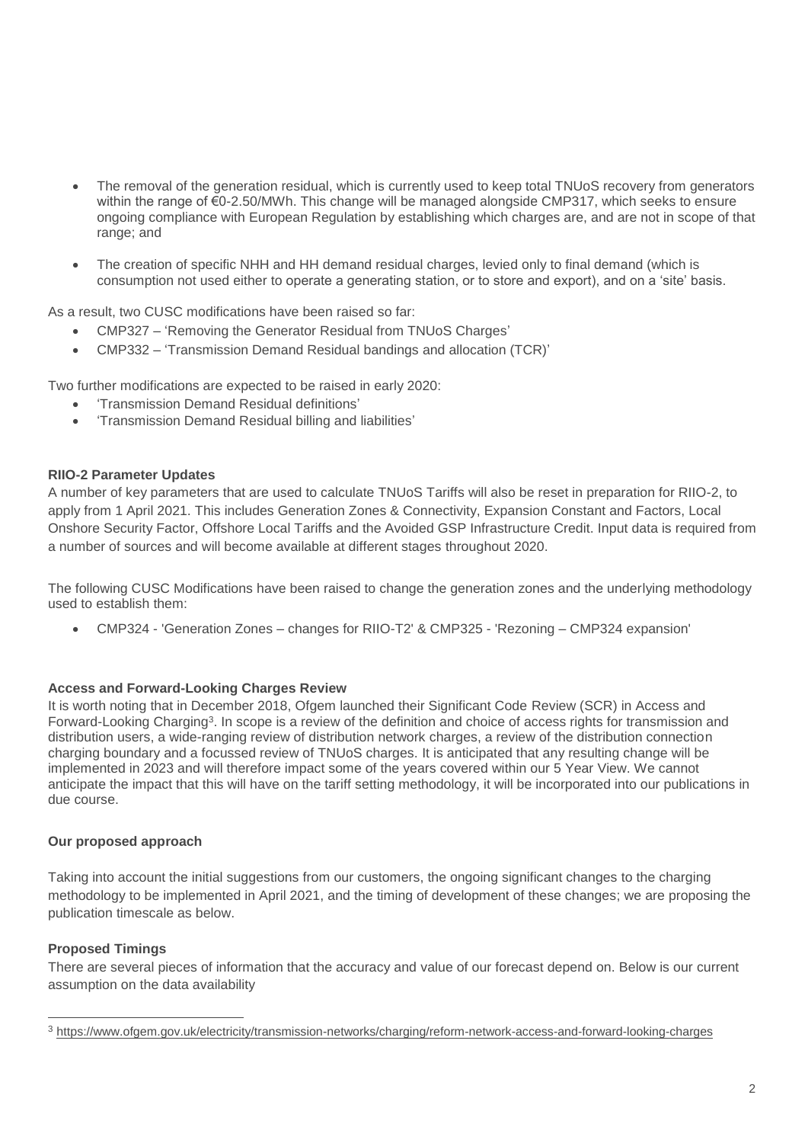- The removal of the generation residual, which is currently used to keep total TNUoS recovery from generators within the range of €0-2.50/MWh. This change will be managed alongside CMP317, which seeks to ensure ongoing compliance with European Regulation by establishing which charges are, and are not in scope of that range; and
- The creation of specific NHH and HH demand residual charges, levied only to final demand (which is consumption not used either to operate a generating station, or to store and export), and on a 'site' basis.

As a result, two CUSC modifications have been raised so far:

- CMP327 'Removing the Generator Residual from TNUoS Charges'
- CMP332 'Transmission Demand Residual bandings and allocation (TCR)'

Two further modifications are expected to be raised in early 2020:

- 'Transmission Demand Residual definitions'
- 'Transmission Demand Residual billing and liabilities'

#### **RIIO-2 Parameter Updates**

A number of key parameters that are used to calculate TNUoS Tariffs will also be reset in preparation for RIIO-2, to apply from 1 April 2021. This includes Generation Zones & Connectivity, Expansion Constant and Factors, Local Onshore Security Factor, Offshore Local Tariffs and the Avoided GSP Infrastructure Credit. Input data is required from a number of sources and will become available at different stages throughout 2020.

The following CUSC Modifications have been raised to change the generation zones and the underlying methodology used to establish them:

• CMP324 - 'Generation Zones – changes for RIIO-T2' & CMP325 - 'Rezoning – CMP324 expansion'

### **Access and Forward-Looking Charges Review**

It is worth noting that in December 2018, Ofgem launched their Significant Code Review (SCR) in Access and Forward-Looking Charging<sup>3</sup>. In scope is a review of the definition and choice of access rights for transmission and distribution users, a wide-ranging review of distribution network charges, a review of the distribution connection charging boundary and a focussed review of TNUoS charges. It is anticipated that any resulting change will be implemented in 2023 and will therefore impact some of the years covered within our 5 Year View. We cannot anticipate the impact that this will have on the tariff setting methodology, it will be incorporated into our publications in due course.

#### **Our proposed approach**

Taking into account the initial suggestions from our customers, the ongoing significant changes to the charging methodology to be implemented in April 2021, and the timing of development of these changes; we are proposing the publication timescale as below.

### **Proposed Timings**

 $\overline{a}$ 

There are several pieces of information that the accuracy and value of our forecast depend on. Below is our current assumption on the data availability

<sup>3</sup> <https://www.ofgem.gov.uk/electricity/transmission-networks/charging/reform-network-access-and-forward-looking-charges>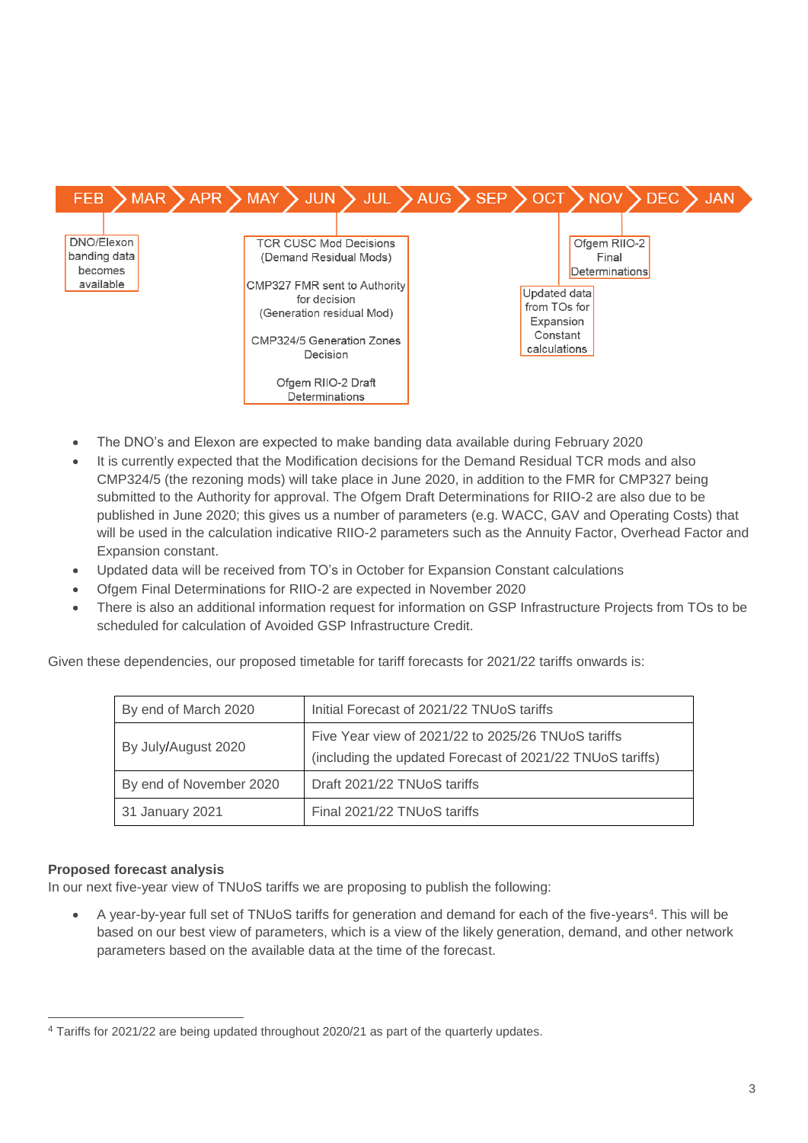

- The DNO's and Elexon are expected to make banding data available during February 2020
- It is currently expected that the Modification decisions for the Demand Residual TCR mods and also CMP324/5 (the rezoning mods) will take place in June 2020, in addition to the FMR for CMP327 being submitted to the Authority for approval. The Ofgem Draft Determinations for RIIO-2 are also due to be published in June 2020; this gives us a number of parameters (e.g. WACC, GAV and Operating Costs) that will be used in the calculation indicative RIIO-2 parameters such as the Annuity Factor, Overhead Factor and Expansion constant.
- Updated data will be received from TO's in October for Expansion Constant calculations
- Ofgem Final Determinations for RIIO-2 are expected in November 2020
- There is also an additional information request for information on GSP Infrastructure Projects from TOs to be scheduled for calculation of Avoided GSP Infrastructure Credit.

Given these dependencies, our proposed timetable for tariff forecasts for 2021/22 tariffs onwards is:

| By end of March 2020    | Initial Forecast of 2021/22 TNUoS tariffs                                                                       |
|-------------------------|-----------------------------------------------------------------------------------------------------------------|
| By July/August 2020     | Five Year view of 2021/22 to 2025/26 TNUoS tariffs<br>(including the updated Forecast of 2021/22 TNUoS tariffs) |
| By end of November 2020 | Draft 2021/22 TNUoS tariffs                                                                                     |
| 31 January 2021         | Final 2021/22 TNUoS tariffs                                                                                     |

### **Proposed forecast analysis**

In our next five-year view of TNUoS tariffs we are proposing to publish the following:

• A year-by-year full set of TNUoS tariffs for generation and demand for each of the five-years<sup>4</sup>. This will be based on our best view of parameters, which is a view of the likely generation, demand, and other network parameters based on the available data at the time of the forecast.

 $\overline{a}$ <sup>4</sup> Tariffs for 2021/22 are being updated throughout 2020/21 as part of the quarterly updates.